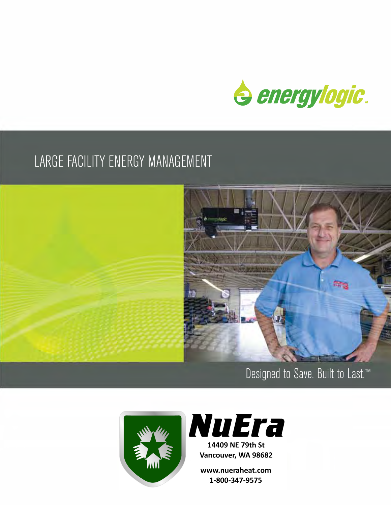

## LARGE FACILITY ENERGY MANAGEMENT



## Designed to Save. Built to Last.™





www.nueraheat.com 1-800-347-9575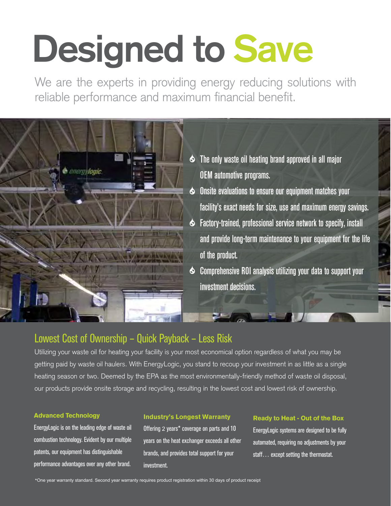# **Designed to Save**

We are the experts in providing energy reducing solutions with reliable performance and maximum financial benefit.



- The only waste oil heating brand approved in all major OEM automotive programs.
- Onsite evaluations to ensure our equipment matches your facility's exact needs for size, use and maximum energy savings.
- Factory-trained, professional service network to specify, install and provide long-term maintenance to your equipment for the life of the product.
- Comprehensive ROI analysis utilizing your data to support your investment decisions.

### Lowest Cost of Ownership – Quick Payback – Less Risk

Utilizing your waste oil for heating your facility is your most economical option regardless of what you may be getting paid by waste oil haulers. With EnergyLogic, you stand to recoup your investment in as little as a single heating season or two. Deemed by the EPA as the most environmentally-friendly method of waste oil disposal, our products provide onsite storage and recycling, resulting in the lowest cost and lowest risk of ownership.

#### Advanced Technology

EnergyLogic is on the leading edge of waste oil combustion technology. Evident by our multiple patents, our equipment has distinguishable performance advantages over any other brand.

#### Industry's Longest Warranty

Offering 2 years\* coverage on parts and 10 years on the heat exchanger exceeds all other brands, and provides total support for your investment.

#### Ready to Heat - Out of the Box

EnergyLogic systems are designed to be fully automated, requiring no adjustments by your staff... except setting the thermostat.

\*One year warranty standard. Second year warranty requires product registration within 30 days of product receipt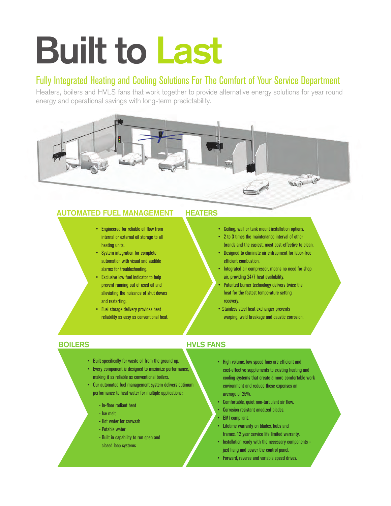# **Built to Last**

#### Fully Integrated Heating and Cooling Solutions For The Comfort of Your Service Department

Heaters, boilers and HVLS fans that work together to provide alternative energy solutions for year round energy and operational savings with long-term predictability.



#### **AUTOMATED FUEL MANAGEMENT HEATERS**

- Engineered for reliable oil flow from internal or external oil storage to all heating units.
- System integration for complete automation with visual and audible alarms for troubleshooting.
- Exclusive low fuel indicator to help prevent running out of used oil and alleviating the nuisance of shut downs and restarting.
- Fuel storage delivery provides heat reliability as easy as conventional heat.

- Ceiling, wall or tank mount installation options.
- 2 to 3 times the maintenance interval of other brands and the easiest, most cost-effective to clean.
- Designed to eliminate air entrapment for labor-free efficient combustion.
- Integrated air compressor, means no need for shop air, providing 24/7 heat availability.
- Patented burner technology delivers twice the heat for the fastest temperature setting recovery.
- Stainless steel heat exchanger prevents warping, weld breakage and caustic corrosion.

- Built specifically for waste oil from the ground up.
- Every component is designed to maximize performance, making it as reliable as conventional boilers.
- Our automated fuel management system delivers optimum performance to heat water for multiple applications:
	- In-floor radiant heat
	- Ice melt
	- Hot water for carwash
	- Potable water
	- Built in capability to run open and closed loop systems

#### **BOILERS HVLS FANS**

- High volume, low speed fans are efficient and cost-effective supplements to existing heating and cooling systems that create a more comfortable work environment and reduce these expenses an average of 25%.
- Comfortable, quiet non-turbulent air flow.
- Corrosion resistant anodized blades.
- EMI compliant.
- Lifetime warranty on blades, hubs and frames. 12 year service life limited warranty.
- Installation ready with the necessary components just hang and power the control panel.
- Forward, reverse and variable speed drives.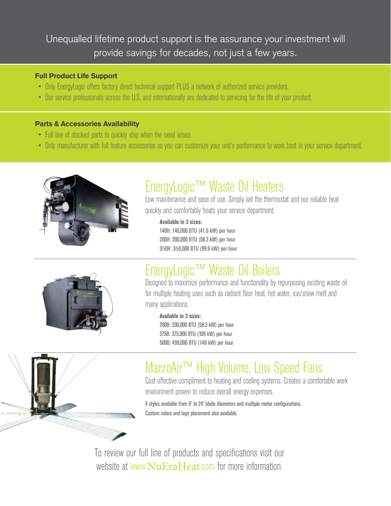### Unequalled lifetime product support is the assurance your investment will provide savings for decades, not just a few years.

#### Full Product Life Support

- Only EnergyLogic offers factory direct technical support PLUS a network of authorized service providers.
- Our service professionals across the U.S. and internationally are dedicated to servicing for the life of your product.

#### Parts & Accessories Availability

- Full line of stocked parts to quickly ship when the need arises.
- Only manufacturer with full feature accessories so you can customize your unit's performance to work best in your service department.



## EnergyLogic™ Waste Oil Heaters

Low maintenance and ease of use. Simply set the thermostat and our reliable heat quickly and comfortably heats your service department.

#### **Available in 3 sizes:**

140H: 140,000 BTU (41.6 kW) per hour 200H: 200,000 BTU (58.3 kW) per hour 350H: 350,000 BTU (99.6 kW) per hour



## EnergyLogic™ Waste Oil Boilers

Designed to maximize performance and functionality by repurposing existing waste oil for multiple heating uses such as radiant floor heat, hot water, ice/snow melt and many applications.

#### **Available in 3 sizes:**

200B: 200,000 BTU (58.3 kW) per hour 375B: 375,000 BTU (109 kW) per hour 500B: 499,000 BTU (146 kW) per hour



## MacroAir™ High Volume, Low Speed Fans

Cost effective compliment to heating and cooling systems. Creates a comfortable work environment proven to reduce overall energy expenses.

4 styles available from 6' to 24' blade diameters and multiple motor configurations. Custom colors and logo placement also available.

To review our full line of products and specifications visit our website at www.NuEraHeat.com for more information.